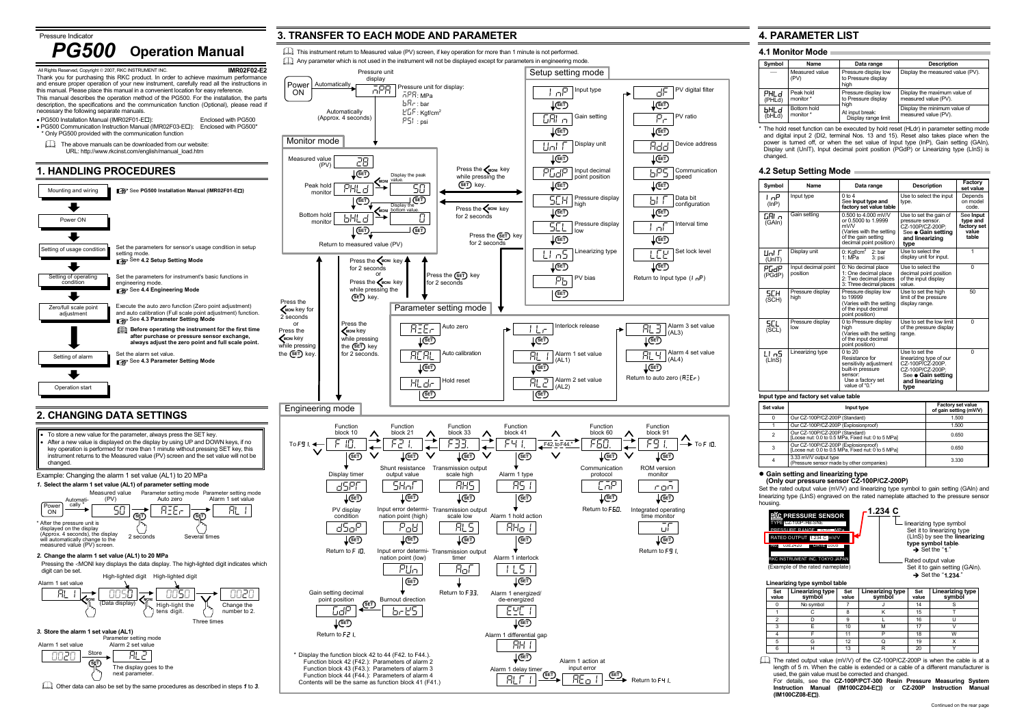Alarm 1 delay timer ALT1

Alarm 1 action atinput error <u>ង AEoII (set</u>

The display goes to the next parameter.



**SET** 

Other data can also be set by the same procedures as described in steps *1* to *3*.

\* The hold reset function can be executed by hold reset (HLdr) in parameter setting mode and digital input 2 (DI2, terminal Nos. 13 and 15). Reset also takes place when the power is turned off, or when the set value of Input type (InP), Gain setting (GAIn), Display unit (UnIT), Input decimal point position (PGdP) or Linearizing type (LInS) is

Return to F41.

Function block 42 (F42.): Parameters of alarm 2 Function block 43 (F43.): Parameters of alarm 3 Function block 44 (F44.): Parameters of alarm 4 Contents will be the same as function block 41 (F41.) **SET**

**SET**

#### $\bullet$  **Gain setting and linearizing type (Only our pressure sensor CZ-100P/CZ-200P)**

Set the rated output value (mV/V) and linearizing type symbol to gain setting (GAIn) and linearizing type (LInS) engraved on the rated nameplate attached to the pressure sensor

> linearizing type symbol Set it to linearizing type (LInS) by see the **linearizing type symbol table.**<br>● Set the "**1**."

Rated output value Set it to gain setting (GAIn). → Set the "**1.234**."

length of 5 m. When the cable is extended or a cable of a different manufacturer is used, the gain value must be corrected and changed. For details, see the **CZ-100P/PCT-300 Resin Pressure Measuring System Instruction Manual (IM100CZ04-E )** or **CZ-200P Instruction Manual (IM100CZ08-E )**.

# **4. PARAMETER LIST**

# **4.1 Monitor Mode**

| Symbol         | Name                     | Data range                                          | <b>Description</b>                                   |
|----------------|--------------------------|-----------------------------------------------------|------------------------------------------------------|
|                | Measured value<br>(PV)   | Pressure display low<br>to Pressure display<br>high | Display the measured value (PV).                     |
| PHLd<br>(PHLd) | Peak hold<br>monitor *   | Pressure display low<br>to Pressure display         | Display the maximum value of<br>measured value (PV). |
| ЫHLd<br>(bHLd) | Bottom hold<br>monitor * | high<br>At input break:<br>Display range limit      | Display the minimum value of<br>measured value (PV). |

# **4.2 Setup Setting Mode**

| Symbol          | Name                            | Data range                                                                                                                         | <b>Description</b>                                                                                                                 | Factory<br>set value                                   |
|-----------------|---------------------------------|------------------------------------------------------------------------------------------------------------------------------------|------------------------------------------------------------------------------------------------------------------------------------|--------------------------------------------------------|
| l oP.<br>(lnP)  | Input type                      | $0$ to 4<br>See Input type and<br>factory set value table                                                                          | Use to select the input<br>type.                                                                                                   | Depends<br>on model<br>code.                           |
| GAI n<br>(GAln) | Gain setting                    | $0.500$ to 4.000 mV/V<br>or 0.5000 to 1.9999<br>mV/V<br>(Varies with the setting<br>of the gain setting<br>decimal point position) | Use to set the gain of<br>pressure sensor.<br>CZ-100P/CZ-200P:<br>See ● Gain setting<br>and linearizing<br>type                    | See Input<br>type and<br>factory set<br>value<br>table |
| Uni F<br>(UnIT) | Display unit                    | 0: $Kgf/cm2$<br>2:bar<br>1: MPa<br>3: psi                                                                                          | Use to select the<br>display unit for input.                                                                                       | 1                                                      |
| РСАР<br>(PGdP)  | Input decimal point<br>position | 0: No decimal place<br>1: One decimal place<br>2: Two decimal places<br>3: Three decimal places                                    | Use to select the<br>decimal point position<br>of the input display<br>value                                                       | 0                                                      |
| SCH<br>(SCH)    | Pressure display<br>high        | Pressure display low<br>to 19999<br>(Varies with the setting<br>of the input decimal<br>point position)                            | Use to set the high<br>limit of the pressure<br>display range.                                                                     | 50                                                     |
| SCL<br>(SCL)    | Pressure display<br>low         | 0 to Pressure display<br>high<br>(Varies with the setting<br>of the input decimal<br>point position)                               | Use to set the low limit<br>of the pressure display<br>range.                                                                      | 0                                                      |
| LI n5<br>(LInS) | Linearizing type                | $0$ to $20$<br>Resistance for<br>sensitivity adjustment<br>built-in pressure<br>sensor:<br>Use a factory set<br>value of "0."      | Use to set the<br>linearizing type of our<br>CZ-100P/CZ-200P.<br>CZ-100P/CZ-200P:<br>See • Gain setting<br>and linearizing<br>type | 0                                                      |

### **Input type and factory set value table**

| Set value | Input type                                                                                 | <b>Factory set value</b><br>of gain setting (mV/V) |
|-----------|--------------------------------------------------------------------------------------------|----------------------------------------------------|
|           | Our CZ-100P/CZ-200P (Standard)                                                             | 1.500                                              |
|           | Our CZ-100P/CZ-200P (Explosionproof)                                                       | 1.500                                              |
|           | Our CZ-100P/CZ-200P (Standard)<br>[Loose nut: 0.0 to 0.5 MPa, Fixed nut: 0 to 5 MPa]       | 0.650                                              |
| 3         | Our CZ-100P/CZ-200P (Explosionproof)<br>[Loose nut: 0.0 to 0.5 MPa, Fixed nut: 0 to 5 MPa] | 0.650                                              |
| 4         | 3.33 mV/V output type<br>(Pressure sensor made by other companies)                         | 3.330                                              |

| <b>RKC PRESSURE SENSOR</b>           |  |
|--------------------------------------|--|
| TYPE CZ-100P-HB-SNE                  |  |
| PRESSURE RANGE 0-20 MPa              |  |
| RATED OUTPUT 1.234 C mV/V            |  |
| NO.<br>$U.5E$ $Z4ZU$<br>$UAT = 0305$ |  |
|                                      |  |

## RKC INSTRUMENT INC. TOKYO JAPAN

(Example of the rated nameplate)

**1.234 C**

### **Linearizing type symbol table**

| Set<br>value | Linearizing type<br>symbol | Set<br>value | <b>Linearizing type</b><br>symböl | Set<br>value | Linearizing type<br>symböl |
|--------------|----------------------------|--------------|-----------------------------------|--------------|----------------------------|
|              | No symbol                  |              |                                   | 14           |                            |
|              |                            | ۰            |                                   | 15           |                            |
| າ            |                            | 9            |                                   | 16           |                            |
| ર            |                            | 10           | м                                 | 17           |                            |
|              |                            | 11           |                                   | 18           | W                          |
| 5            |                            | 12           |                                   | 19           |                            |
| 6            |                            | 13           | R                                 | 20           |                            |
|              |                            |              |                                   |              |                            |

The rated output value (mV/V) of the CZ-100P/CZ-200P is when the cable is at a